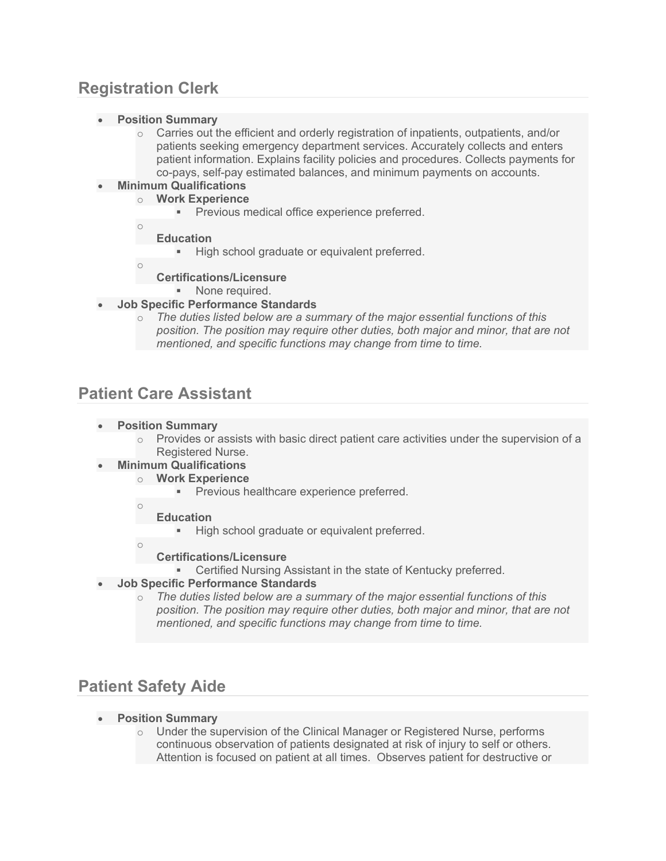# **Registration Clerk**

- **Position Summary**
	- $\circ$  Carries out the efficient and orderly registration of inpatients, outpatients, and/or patients seeking emergency department services. Accurately collects and enters patient information. Explains facility policies and procedures. Collects payments for co-pays, self-pay estimated balances, and minimum payments on accounts.

### • **Minimum Qualifications**

- o **Work Experience**
	- **Previous medical office experience preferred.**
- o **Education**
	- High school graduate or equivalent preferred.
- o
- **Certifications/Licensure**
	- **None required.**
- **Job Specific Performance Standards**
	- o *The duties listed below are a summary of the major essential functions of this position. The position may require other duties, both major and minor, that are not mentioned, and specific functions may change from time to time.*

## **Patient Care Assistant**

- **Position Summary**
	- $\circ$  Provides or assists with basic direct patient care activities under the supervision of a Registered Nurse.
- **Minimum Qualifications**
	- o **Work Experience**
		- **Previous healthcare experience preferred.**
	- o
		- **Education**
			- **High school graduate or equivalent preferred.**
	- o
- 
- **Certifications/Licensure** Certified Nursing Assistant in the state of Kentucky preferred.
- **Job Specific Performance Standards**
	- o *The duties listed below are a summary of the major essential functions of this position. The position may require other duties, both major and minor, that are not mentioned, and specific functions may change from time to time.*

# **Patient Safety Aide**

- **Position Summary**
	- o Under the supervision of the Clinical Manager or Registered Nurse, performs continuous observation of patients designated at risk of injury to self or others. Attention is focused on patient at all times. Observes patient for destructive or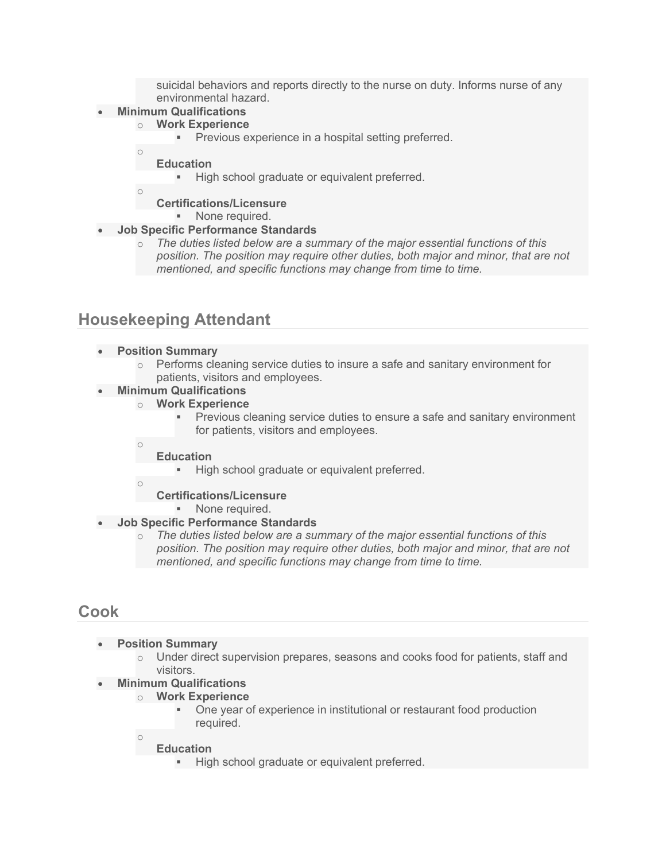suicidal behaviors and reports directly to the nurse on duty. Informs nurse of any environmental hazard.

### • **Minimum Qualifications**

### o **Work Experience**

**Previous experience in a hospital setting preferred.** 

**Education**

High school graduate or equivalent preferred.

o

o

**Certifications/Licensure None required.** 

### • **Job Specific Performance Standards**

o *The duties listed below are a summary of the major essential functions of this position. The position may require other duties, both major and minor, that are not mentioned, and specific functions may change from time to time.*

## **Housekeeping Attendant**

### • **Position Summary**

 $\circ$  Performs cleaning service duties to insure a safe and sanitary environment for patients, visitors and employees.

### • **Minimum Qualifications**

- o **Work Experience**
	- Previous cleaning service duties to ensure a safe and sanitary environment for patients, visitors and employees.
	- **Education**
		- **High school graduate or equivalent preferred.**
- o

o

### **Certifications/Licensure**

- **None required.**
- **Job Specific Performance Standards**
	- o *The duties listed below are a summary of the major essential functions of this position. The position may require other duties, both major and minor, that are not mentioned, and specific functions may change from time to time.*

### **Cook**

- **Position Summary**
	- $\circ$  Under direct supervision prepares, seasons and cooks food for patients, staff and visitors.
- **Minimum Qualifications**
	- o **Work Experience**
		- One year of experience in institutional or restaurant food production required.
	- o **Education**
		- **High school graduate or equivalent preferred.**